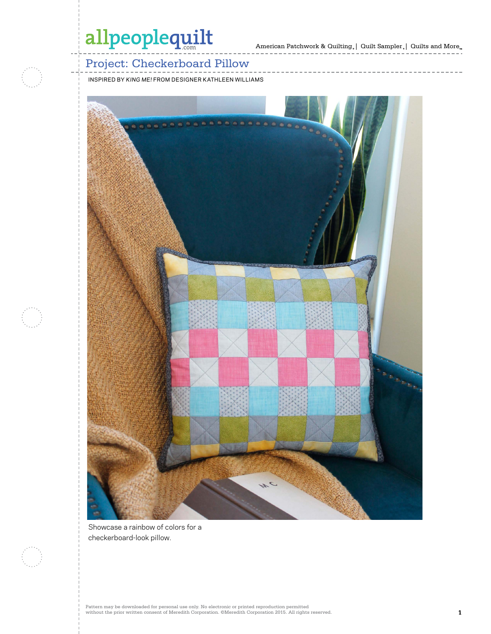# allpeoplequilt

American Patchwork & Quilting  $_{\circ}\left|\right.$  Quilt Sampler  $_{\circ}\left|\right.$  Quilts and More  $_{\circ}$ 

------------

## Project: Checkerboard Pillow

INSPIRED BY *KING ME!* FROM DESIGNER KATHLEEN WILLIAMS



Showcase a rainbow of colors for a checkerboard-look pillow.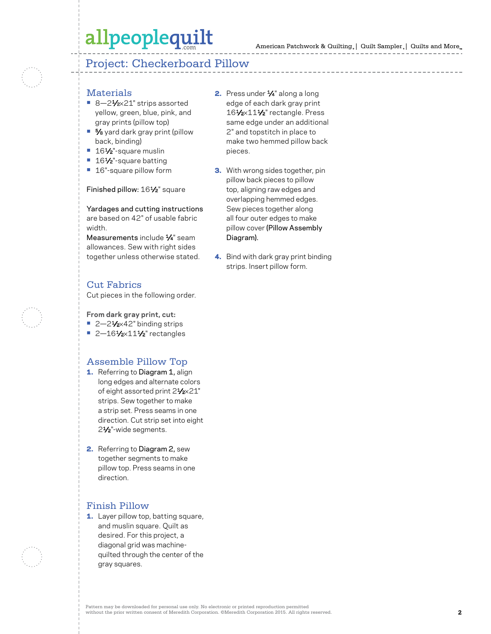## allpeoplequilt

### Project: Checkerboard Pillow

#### **Materials**

- 8-21⁄2×21" strips assorted yellow, green, blue, pink, and gray prints (pillow top)
- **•** 5⁄8 yard dark gray print (pillow back, binding)
- 161⁄2"-square muslin
- 16½<sup>"-</sup>square batting
- **•** 16"-square pillow form

#### Finished pillow: 161/2" square

Yardages and cutting instructions are based on 42" of usable fabric width.

Measurements include 1/4" seam allowances. Sew with right sides together unless otherwise stated.

### Cut Fabrics

Cut pieces in the following order.

#### **From dark gray print, cut:**

- 2–21⁄<sub>2×42</sub>" binding strips
- 2-161⁄2×11<sup>1</sup>/<sub>2</sub>" rectangles

#### Assemble Pillow Top

- 1. Referring to Diagram 1, align long edges and alternate colors of eight assorted print 21/2×21" strips. Sew together to make a strip set. Press seams in one direction. Cut strip set into eight 21⁄2"-wide segments.
- 2. Referring to Diagram 2, sew together segments to make pillow top. Press seams in one direction.

### Finish Pillow

1. Layer pillow top, batting square, and muslin square. Quilt as desired. For this project, a diagonal grid was machinequilted through the center of the gray squares.

- 2. Press under 1/4" along a long edge of each dark gray print 161/2×111/2" rectangle. Press same edge under an additional 2" and topstitch in place to make two hemmed pillow back pieces.
- **3.** With wrong sides together, pin pillow back pieces to pillow top, aligning raw edges and overlapping hemmed edges. Sew pieces together along all four outer edges to make pillow cover (Pillow Assembly Diagram).
- 4. Bind with dark gray print binding strips. Insert pillow form.